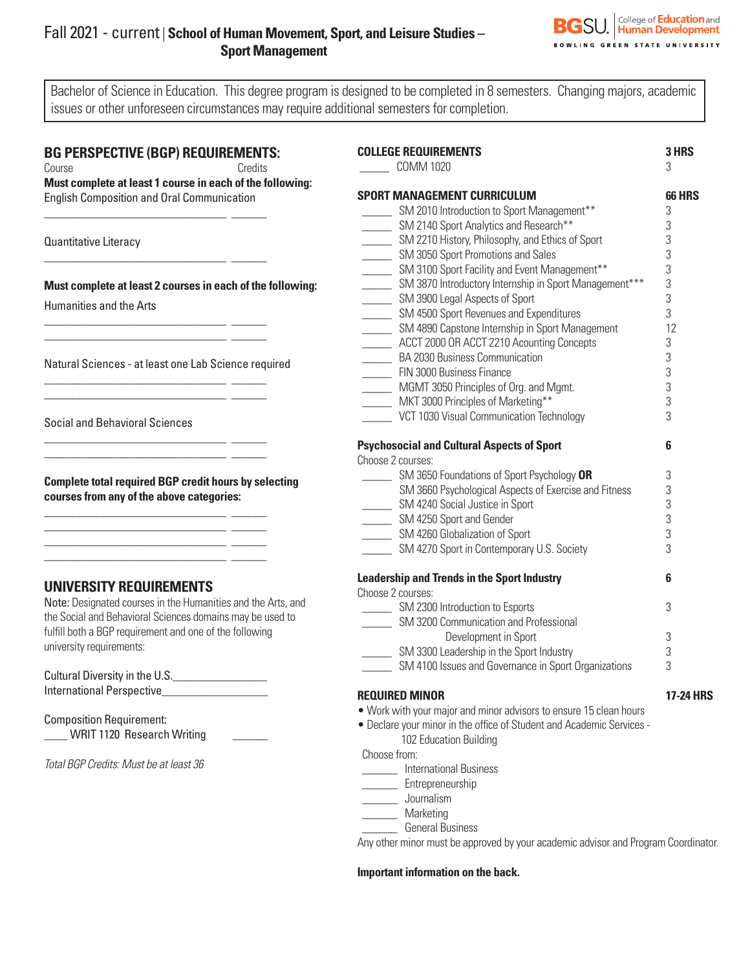# Fall 2021 - current | **School of Human Movement, Sport, and Leisure Studies – Sport Management**



Bachelor of Science in Education. This degree program is designed to be completed in 8 semesters. Changing majors, academic issues or other unforeseen circumstances may require additional semesters for completion.

### **BG PERSPECTIVE (BGP) REQUIREMENTS:**

\_\_\_\_\_\_\_\_\_\_\_\_\_\_\_\_\_\_\_\_\_\_\_\_\_\_\_\_\_\_\_ \_\_\_\_\_\_

\_\_\_\_\_\_\_\_\_\_\_\_\_\_\_\_\_\_\_\_\_\_\_\_\_\_\_\_\_\_\_ \_\_\_\_\_\_

\_\_\_\_\_\_\_\_\_\_\_\_\_\_\_\_\_\_\_\_\_\_\_\_\_\_\_\_\_\_\_ \_\_\_\_\_\_  $\frac{1}{2}$  , and the set of the set of the set of the set of the set of the set of the set of the set of the set of

\_\_\_\_\_\_\_\_\_\_\_\_\_\_\_\_\_\_\_\_\_\_\_\_\_\_\_\_\_\_\_ \_\_\_\_\_\_ \_\_\_\_\_\_\_\_\_\_\_\_\_\_\_\_\_\_\_\_\_\_\_\_\_\_\_\_\_\_\_ \_\_\_\_\_\_

\_\_\_\_\_\_\_\_\_\_\_\_\_\_\_\_\_\_\_\_\_\_\_\_\_\_\_\_\_\_\_ \_\_\_\_\_\_ \_\_\_\_\_\_\_\_\_\_\_\_\_\_\_\_\_\_\_\_\_\_\_\_\_\_\_\_\_\_\_ \_\_\_\_\_\_

\_\_\_\_\_\_\_\_\_\_\_\_\_\_\_\_\_\_\_\_\_\_\_\_\_\_\_\_\_\_\_ \_\_\_\_\_\_ \_\_\_\_\_\_\_\_\_\_\_\_\_\_\_\_\_\_\_\_\_\_\_\_\_\_\_\_\_\_\_ \_\_\_\_\_\_  $\overline{\phantom{a}}$  , and the set of the set of the set of the set of the set of the set of the set of the set of the set of the set of the set of the set of the set of the set of the set of the set of the set of the set of the s \_\_\_\_\_\_\_\_\_\_\_\_\_\_\_\_\_\_\_\_\_\_\_\_\_\_\_\_\_\_\_ \_\_\_\_\_\_

| Course |  | Credits |
|--------|--|---------|

**Must complete at least 1 course in each of the following:**  English Composition and Oral Communication

Quantitative Literacy

**Must complete at least 2 courses in each of the following:** Humanities and the Arts

Natural Sciences - at least one Lab Science required

Social and Behavioral Sciences

**Complete total required BGP credit hours by selecting courses from any of the above categories:**

## **UNIVERSITY REQUIREMENTS**

Note: Designated courses in the Humanities and the Arts, and the Social and Behavioral Sciences domains may be used to fulfill both a BGP requirement and one of the following university requirements:

Cultural Diversity in the U.S.\_\_\_\_\_\_\_\_\_\_\_\_\_\_\_\_ International Perspective\_\_\_\_\_\_\_\_\_\_\_\_\_\_\_\_\_\_

Composition Requirement: \_\_\_\_ WRIT 1120 Research Writing \_\_\_\_\_\_

*Total BGP Credits: Must be at least 36*

| <b>COLLEGE REQUIREMENTS</b><br><b>COMM 1020</b>                              | 3 HRS<br>3       |
|------------------------------------------------------------------------------|------------------|
| <b>SPORT MANAGEMENT CURRICULUM</b>                                           | 66 HRS           |
| SM 2010 Introduction to Sport Management**                                   | 3                |
| SM 2140 Sport Analytics and Research**                                       | 3                |
| SM 2210 History, Philosophy, and Ethics of Sport                             | 3                |
| SM 3050 Sport Promotions and Sales                                           | 3                |
| SM 3100 Sport Facility and Event Management**                                | 3                |
| SM 3870 Introductory Internship in Sport Management***                       | 3                |
| ________ SM 3900 Legal Aspects of Sport                                      | 3                |
| ________ SM 4500 Sport Revenues and Expenditures                             | 3                |
| ________ SM 4890 Capstone Internship in Sport Management                     | 12               |
| ________ ACCT 2000 OR ACCT 2210 Acounting Concepts                           | 3                |
| BA 2030 Business Communication                                               | 3                |
| FIN 3000 Business Finance                                                    | 3                |
|                                                                              | 3                |
| MGMT 3050 Principles of Org. and Mgmt.<br>MKT 3000 Principles of Marketing** | 3                |
| VCT 1030 Visual Communication Technology                                     | 3                |
|                                                                              |                  |
| <b>Psychosocial and Cultural Aspects of Sport</b><br>Choose 2 courses:       | 6                |
|                                                                              | 3                |
| SM 3650 Foundations of Sport Psychology OR<br>$\mathbb{R}$                   |                  |
| SM 3660 Psychological Aspects of Exercise and Fitness                        | 3                |
| ________ SM 4240 Social Justice in Sport                                     | 3                |
| ________ SM 4250 Sport and Gender                                            | 3                |
| ________ SM 4260 Globalization of Sport                                      | 3                |
| SM 4270 Sport in Contemporary U.S. Society                                   | 3                |
| <b>Leadership and Trends in the Sport Industry</b>                           | 6                |
| Choose 2 courses:                                                            |                  |
| ________ SM 2300 Introduction to Esports                                     | 3                |
| SM 3200 Communication and Professional                                       |                  |
| Development in Sport                                                         | 3                |
| SM 3300 Leadership in the Sport Industry                                     | 3                |
| SM 4100 Issues and Governance in Sport Organizations                         | 3                |
| <b>REQUIRED MINOR</b>                                                        | <b>17-24 HRS</b> |
| • Work with your major and minor advisors to ensure 15 clean hours           |                  |
| . Declare your minor in the office of Student and Academic Services -        |                  |
| 102 Education Building                                                       |                  |
| Choose from:                                                                 |                  |
| <b>International Business</b>                                                |                  |
| <b>Entrepreneurship</b>                                                      |                  |
| Journalism                                                                   |                  |
| <b>Marketing</b>                                                             |                  |

\_\_\_\_\_\_ General Business

Any other minor must be approved by your academic advisor and Program Coordinator.

#### **Important information on the back.**